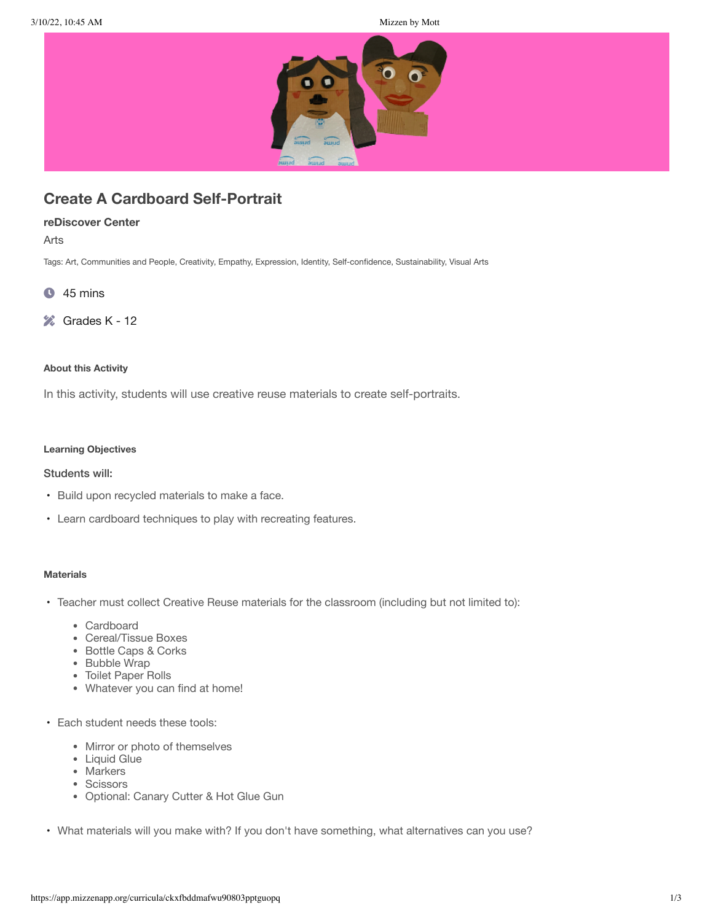

# **Create A Cardboard Self-Portrait**

# **reDiscover Center**

Arts

Tags: Art, Communities and People, Creativity, Empathy, Expression, Identity, Self-confidence, Sustainability, Visual Arts

- $\bullet$  45 mins
- **Ex** Grades K 12

#### **About this Activity**

In this activity, students will use creative reuse materials to create self-portraits.

# **Learning Objectives**

## Students will:

- Build upon recycled materials to make a face.
- Learn cardboard techniques to play with recreating features.

## **Materials**

- Teacher must collect Creative Reuse materials for the classroom (including but not limited to):
	- Cardboard
	- Cereal/Tissue Boxes
	- Bottle Caps & Corks
	- Bubble Wrap
	- Toilet Paper Rolls
	- Whatever you can find at home!
- Each student needs these tools:
	- Mirror or photo of themselves
	- Liquid Glue
	- Markers
	- Scissors
	- Optional: Canary Cutter & Hot Glue Gun
- What materials will you make with? If you don't have something, what alternatives can you use?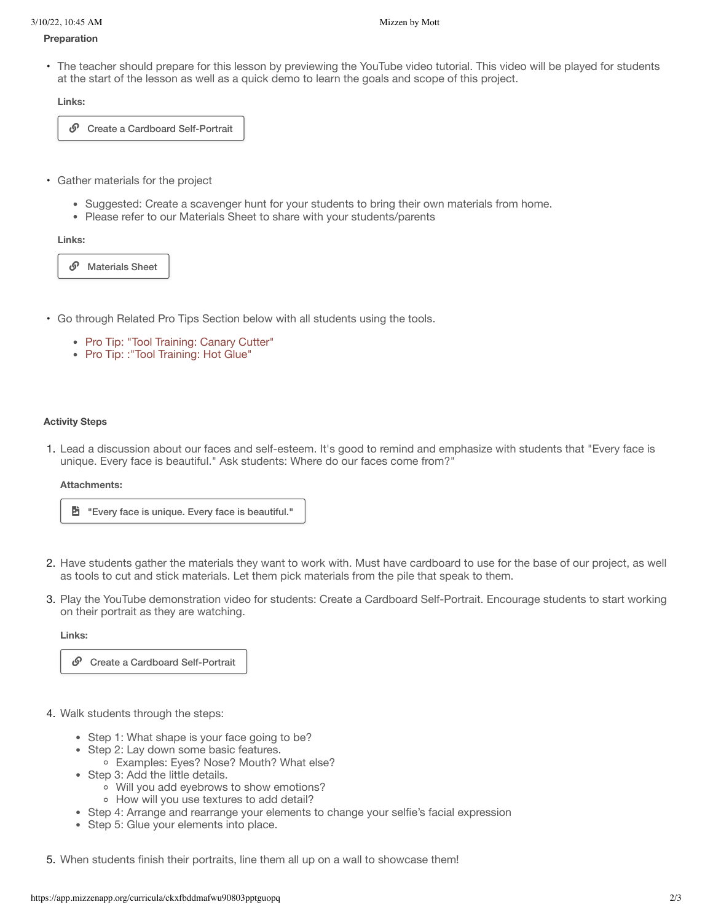#### **Preparation**

• The teacher should prepare for this lesson by previewing the YouTube video tutorial. This video will be played for students at the start of the lesson as well as a quick demo to learn the goals and scope of this project.

**Links:**

 $\mathcal{O}$  Create a Cardboard Self-Portrait

- Gather materials for the project
	- Suggested: Create a scavenger hunt for your students to bring their own materials from home.
	- Please refer to our Materials Sheet to share with your students/parents

#### **Links:**

*S* Materials Sheet

- Go through Related Pro Tips Section below with all students using the tools.
	- Pro Tip: "Tool Training: Canary Cutter"
	- Pro Tip: : "Tool Training: Hot Glue"

#### **Activity Steps**

1. Lead a discussion about our faces and self-esteem. It's good to remind and emphasize with students that "Every face is unique. Every face is beautiful." Ask students: Where do our faces come from?"

#### **Attachments:**



- 2. Have students gather the materials they want to work with. Must have cardboard to use for the base of our project, as well as tools to cut and stick materials. Let them pick materials from the pile that speak to them.
- 3. Play the YouTube demonstration video for students: Create a Cardboard Self-Portrait. Encourage students to start working on their portrait as they are watching.

#### **Links:**

 $\mathcal{O}$  Create a Cardboard Self-Portrait

- 4. Walk students through the steps:
	- Step 1: What shape is your face going to be?
	- Step 2: Lay down some basic features.
		- Examples: Eyes? Nose? Mouth? What else?
	- Step 3: Add the little details.
		- Will you add eyebrows to show emotions?
		- How will you use textures to add detail?
	- Step 4: Arrange and rearrange your elements to change your selfie's facial expression
	- Step 5: Glue your elements into place.

5. When students finish their portraits, line them all up on a wall to showcase them!